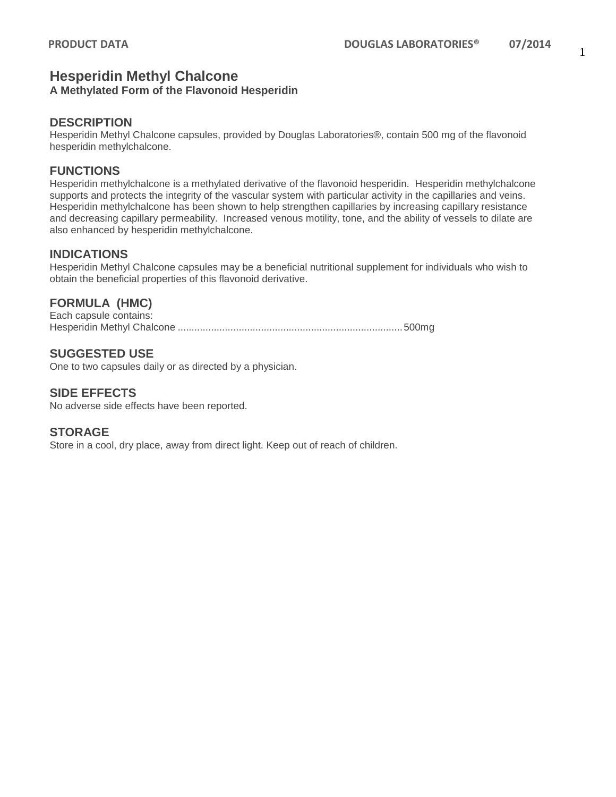# 1

# **Hesperidin Methyl Chalcone**

# **A Methylated Form of the Flavonoid Hesperidin**

### **DESCRIPTION**

Hesperidin Methyl Chalcone capsules, provided by Douglas Laboratories®, contain 500 mg of the flavonoid hesperidin methylchalcone.

## **FUNCTIONS**

Hesperidin methylchalcone is a methylated derivative of the flavonoid hesperidin. Hesperidin methylchalcone supports and protects the integrity of the vascular system with particular activity in the capillaries and veins. Hesperidin methylchalcone has been shown to help strengthen capillaries by increasing capillary resistance and decreasing capillary permeability. Increased venous motility, tone, and the ability of vessels to dilate are also enhanced by hesperidin methylchalcone.

#### **INDICATIONS**

Hesperidin Methyl Chalcone capsules may be a beneficial nutritional supplement for individuals who wish to obtain the beneficial properties of this flavonoid derivative.

# **FORMULA (HMC)**

Each capsule contains: Hesperidin Methyl Chalcone .................................................................................500mg

# **SUGGESTED USE**

One to two capsules daily or as directed by a physician.

## **SIDE EFFECTS**

No adverse side effects have been reported.

#### **STORAGE**

Store in a cool, dry place, away from direct light. Keep out of reach of children.